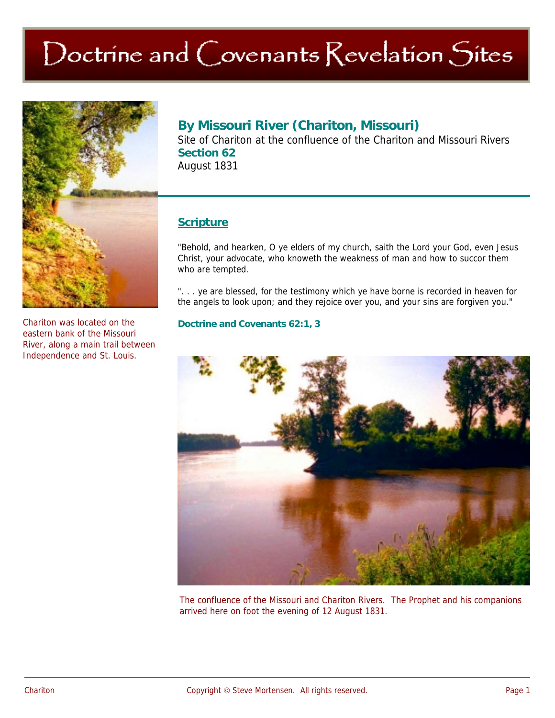# Doctrine and Covenants Revelation Sites



Chariton was located on the eastern bank of the Missouri River, along a main trail between Independence and St. Louis.

## **By Missouri River (Chariton, Missouri)**

Site of Chariton at the confluence of the Chariton and Missouri Rivers **Section 62**  August 1831

### **Scripture**

"Behold, and hearken, O ye elders of my church, saith the Lord your God, even Jesus Christ, your advocate, who knoweth the weakness of man and how to succor them who are tempted.

"... ye are blessed, for the testimony which ye have borne is recorded in heaven for the angels to look upon; and they rejoice over you, and your sins are forgiven you."

#### **Doctrine and Covenants 62:1, 3**



The confluence of the Missouri and Chariton Rivers. The Prophet and his companions arrived here on foot the evening of 12 August 1831.